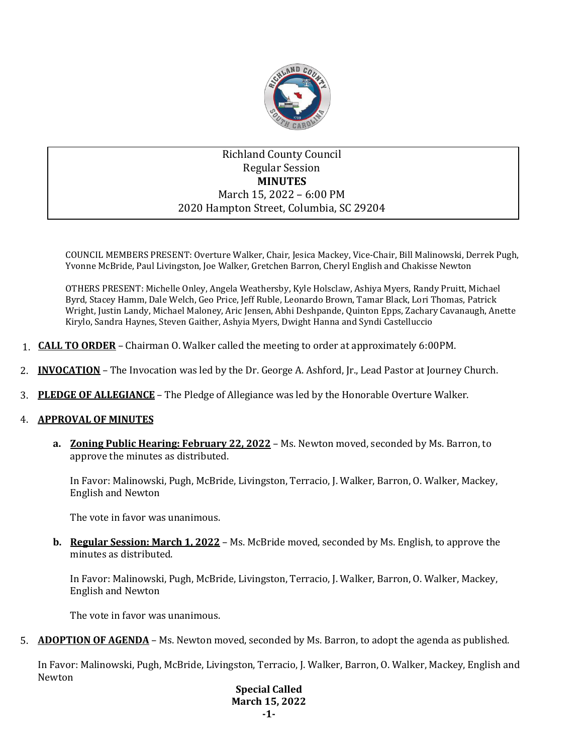

# Richland County Council Regular Session **MINUTES** March 15, 2022 – 6:00 PM 2020 Hampton Street, Columbia, SC 29204

COUNCIL MEMBERS PRESENT: Overture Walker, Chair, Jesica Mackey, Vice-Chair, Bill Malinowski, Derrek Pugh, Yvonne McBride, Paul Livingston, Joe Walker, Gretchen Barron, Cheryl English and Chakisse Newton

OTHERS PRESENT: Michelle Onley, Angela Weathersby, Kyle Holsclaw, Ashiya Myers, Randy Pruitt, Michael Byrd, Stacey Hamm, Dale Welch, Geo Price, Jeff Ruble, Leonardo Brown, Tamar Black, Lori Thomas, Patrick Wright, Justin Landy, Michael Maloney, Aric Jensen, Abhi Deshpande, Quinton Epps, Zachary Cavanaugh, Anette Kirylo, Sandra Haynes, Steven Gaither, Ashyia Myers, Dwight Hanna and Syndi Castelluccio

- 1. **CALL TO ORDER** Chairman O. Walker called the meeting to order at approximately 6:00PM.
- 2. **INVOCATION** The Invocation was led by the Dr. George A. Ashford, Jr., Lead Pastor at Journey Church.
- 3. **PLEDGE OF ALLEGIANCE** The Pledge of Allegiance was led by the Honorable Overture Walker.

### 4. **APPROVAL OF MINUTES**

**a. Zoning Public Hearing: February 22, 2022** – Ms. Newton moved, seconded by Ms. Barron, to approve the minutes as distributed.

In Favor: Malinowski, Pugh, McBride, Livingston, Terracio, J. Walker, Barron, O. Walker, Mackey, English and Newton

The vote in favor was unanimous.

**b. Regular Session: March 1, 2022** – Ms. McBride moved, seconded by Ms. English, to approve the minutes as distributed.

In Favor: Malinowski, Pugh, McBride, Livingston, Terracio, J. Walker, Barron, O. Walker, Mackey, English and Newton

The vote in favor was unanimous.

5. **ADOPTION OF AGENDA** – Ms. Newton moved, seconded by Ms. Barron, to adopt the agenda as published.

In Favor: Malinowski, Pugh, McBride, Livingston, Terracio, J. Walker, Barron, O. Walker, Mackey, English and Newton

> **Special Called March 15, 2022 -1-**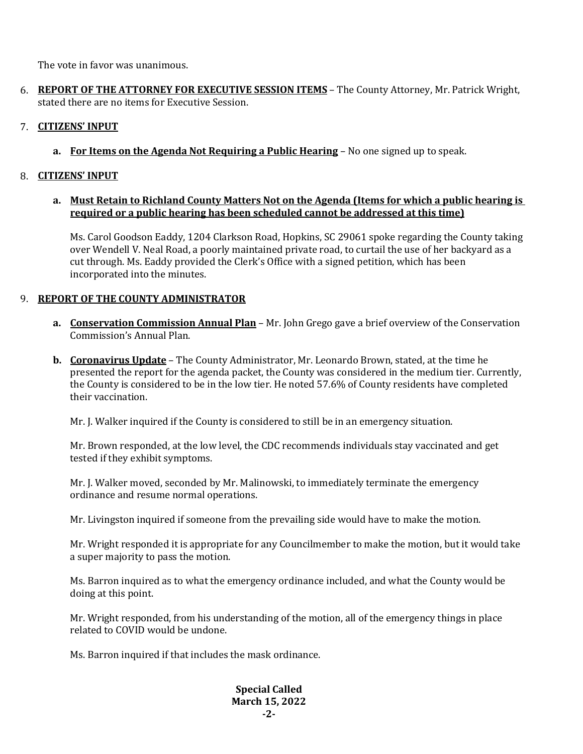The vote in favor was unanimous.

6. **REPORT OF THE ATTORNEY FOR EXECUTIVE SESSION ITEMS** – The County Attorney, Mr. Patrick Wright, stated there are no items for Executive Session.

## 7. **CITIZENS' INPUT**

**a. For Items on the Agenda Not Requiring a Public Hearing** – No one signed up to speak.

### 8. **CITIZENS' INPUT**

### **a. Must Retain to Richland County Matters Not on the Agenda (Items for which a public hearing is required or a public hearing has been scheduled cannot be addressed at this time)**

Ms. Carol Goodson Eaddy, 1204 Clarkson Road, Hopkins, SC 29061 spoke regarding the County taking over Wendell V. Neal Road, a poorly maintained private road, to curtail the use of her backyard as a cut through. Ms. Eaddy provided the Clerk's Office with a signed petition, which has been incorporated into the minutes.

## 9. **REPORT OF THE COUNTY ADMINISTRATOR**

- **a. Conservation Commission Annual Plan** Mr. John Grego gave a brief overview of the Conservation Commission's Annual Plan.
- **b. Coronavirus Update** The County Administrator, Mr. Leonardo Brown, stated, at the time he presented the report for the agenda packet, the County was considered in the medium tier. Currently, the County is considered to be in the low tier. He noted 57.6% of County residents have completed their vaccination.

Mr. J. Walker inquired if the County is considered to still be in an emergency situation.

Mr. Brown responded, at the low level, the CDC recommends individuals stay vaccinated and get tested if they exhibit symptoms.

Mr. J. Walker moved, seconded by Mr. Malinowski, to immediately terminate the emergency ordinance and resume normal operations.

Mr. Livingston inquired if someone from the prevailing side would have to make the motion.

Mr. Wright responded it is appropriate for any Councilmember to make the motion, but it would take a super majority to pass the motion.

Ms. Barron inquired as to what the emergency ordinance included, and what the County would be doing at this point.

Mr. Wright responded, from his understanding of the motion, all of the emergency things in place related to COVID would be undone.

Ms. Barron inquired if that includes the mask ordinance.

### **Special Called March 15, 2022 -2-**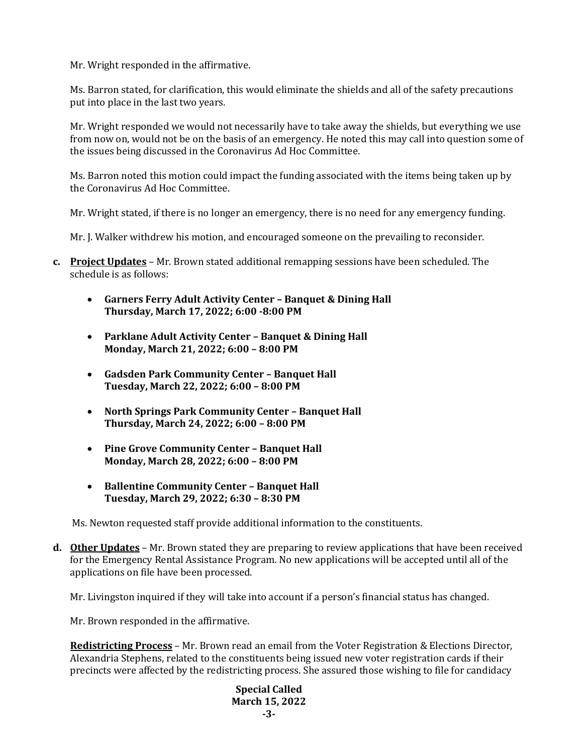Mr. Wright responded in the affirmative.

Ms. Barron stated, for clarification, this would eliminate the shields and all of the safety precautions put into place in the last two years.

Mr. Wright responded we would not necessarily have to take away the shields, but everything we use from now on, would not be on the basis of an emergency. He noted this may call into question some of the issues being discussed in the Coronavirus Ad Hoc Committee.

Ms. Barron noted this motion could impact the funding associated with the items being taken up by the Coronavirus Ad Hoc Committee.

Mr. Wright stated, if there is no longer an emergency, there is no need for any emergency funding.

Mr. J. Walker withdrew his motion, and encouraged someone on the prevailing to reconsider.

- **c. Project Updates** Mr. Brown stated additional remapping sessions have been scheduled. The schedule is as follows:
	- **Garners Ferry Adult Activity Center – Banquet & Dining Hall Thursday, March 17, 2022; 6:00 -8:00 PM**
	- **Parklane Adult Activity Center – Banquet & Dining Hall Monday, March 21, 2022; 6:00 – 8:00 PM**
	- **Gadsden Park Community Center – Banquet Hall Tuesday, March 22, 2022; 6:00 – 8:00 PM**
	- **North Springs Park Community Center – Banquet Hall Thursday, March 24, 2022; 6:00 – 8:00 PM**
	- **Pine Grove Community Center – Banquet Hall Monday, March 28, 2022; 6:00 – 8:00 PM**
	- **Ballentine Community Center – Banquet Hall Tuesday, March 29, 2022; 6:30 – 8:30 PM**

Ms. Newton requested staff provide additional information to the constituents.

**d. Other Updates** – Mr. Brown stated they are preparing to review applications that have been received for the Emergency Rental Assistance Program. No new applications will be accepted until all of the applications on file have been processed.

Mr. Livingston inquired if they will take into account if a person's financial status has changed.

Mr. Brown responded in the affirmative.

**Redistricting Process** – Mr. Brown read an email from the Voter Registration & Elections Director, Alexandria Stephens, related to the constituents being issued new voter registration cards if their precincts were affected by the redistricting process. She assured those wishing to file for candidacy

> **Special Called March 15, 2022 -3-**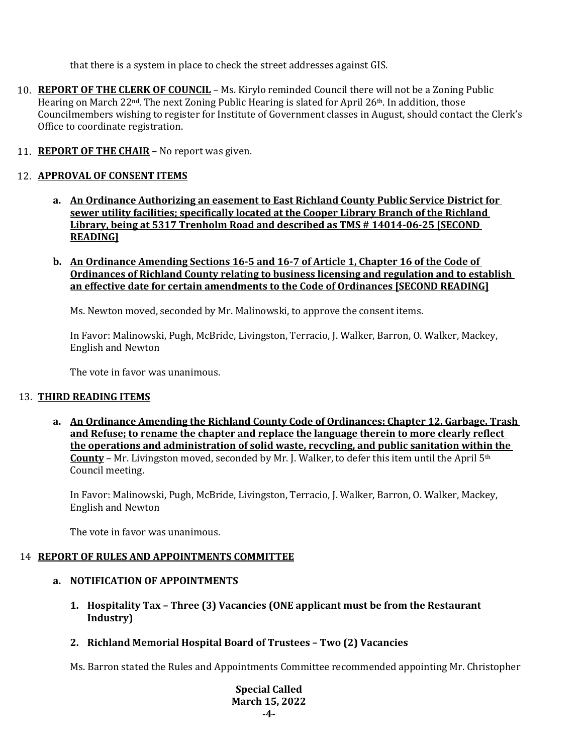that there is a system in place to check the street addresses against GIS.

- 10. **REPORT OF THE CLERK OF COUNCIL** Ms. Kirylo reminded Council there will not be a Zoning Public Hearing on March 22<sup>nd</sup>. The next Zoning Public Hearing is slated for April 26<sup>th</sup>. In addition, those Councilmembers wishing to register for Institute of Government classes in August, should contact the Clerk's Office to coordinate registration.
- 11. **REPORT OF THE CHAIR** No report was given.

### 12. **APPROVAL OF CONSENT ITEMS**

- **a. An Ordinance Authorizing an easement to East Richland County Public Service District for sewer utility facilities; specifically located at the Cooper Library Branch of the Richland Library, being at 5317 Trenholm Road and described as TMS # 14014-06-25 [SECOND READING]**
- **b. An Ordinance Amending Sections 16-5 and 16-7 of Article 1, Chapter 16 of the Code of Ordinances of Richland County relating to business licensing and regulation and to establish an effective date for certain amendments to the Code of Ordinances [SECOND READING]**

Ms. Newton moved, seconded by Mr. Malinowski, to approve the consent items.

In Favor: Malinowski, Pugh, McBride, Livingston, Terracio, J. Walker, Barron, O. Walker, Mackey, English and Newton

The vote in favor was unanimous.

### 13. **THIRD READING ITEMS**

**a. An Ordinance Amending the Richland County Code of Ordinances; Chapter 12, Garbage, Trash and Refuse; to rename the chapter and replace the language therein to more clearly reflect the operations and administration of solid waste, recycling, and public sanitation within the County** – Mr. Livingston moved, seconded by Mr. J. Walker, to defer this item until the April 5th Council meeting.

In Favor: Malinowski, Pugh, McBride, Livingston, Terracio, J. Walker, Barron, O. Walker, Mackey, English and Newton

The vote in favor was unanimous.

### 14 **REPORT OF RULES AND APPOINTMENTS COMMITTEE**

### **a. NOTIFICATION OF APPOINTMENTS**

- **1. Hospitality Tax – Three (3) Vacancies (ONE applicant must be from the Restaurant Industry)**
- **2. Richland Memorial Hospital Board of Trustees – Two (2) Vacancies**

Ms. Barron stated the Rules and Appointments Committee recommended appointing Mr. Christopher

**Special Called March 15, 2022 -4-**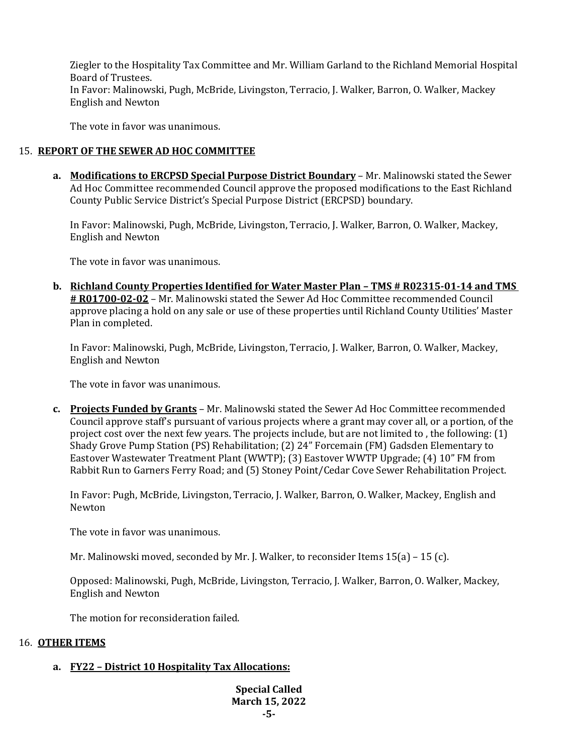Ziegler to the Hospitality Tax Committee and Mr. William Garland to the Richland Memorial Hospital Board of Trustees. In Favor: Malinowski, Pugh, McBride, Livingston, Terracio, J. Walker, Barron, O. Walker, Mackey English and Newton

The vote in favor was unanimous.

## 15. **REPORT OF THE SEWER AD HOC COMMITTEE**

**a. Modifications to ERCPSD Special Purpose District Boundary** – Mr. Malinowski stated the Sewer Ad Hoc Committee recommended Council approve the proposed modifications to the East Richland County Public Service District's Special Purpose District (ERCPSD) boundary.

In Favor: Malinowski, Pugh, McBride, Livingston, Terracio, J. Walker, Barron, O. Walker, Mackey, English and Newton

The vote in favor was unanimous.

**b. Richland County Properties Identified for Water Master Plan – TMS # R02315-01-14 and TMS # R01700-02-02** – Mr. Malinowski stated the Sewer Ad Hoc Committee recommended Council approve placing a hold on any sale or use of these properties until Richland County Utilities' Master Plan in completed.

In Favor: Malinowski, Pugh, McBride, Livingston, Terracio, J. Walker, Barron, O. Walker, Mackey, English and Newton

The vote in favor was unanimous.

**c. Projects Funded by Grants** – Mr. Malinowski stated the Sewer Ad Hoc Committee recommended Council approve staff's pursuant of various projects where a grant may cover all, or a portion, of the project cost over the next few years. The projects include, but are not limited to , the following: (1) Shady Grove Pump Station (PS) Rehabilitation; (2) 24" Forcemain (FM) Gadsden Elementary to Eastover Wastewater Treatment Plant (WWTP); (3) Eastover WWTP Upgrade; (4) 10" FM from Rabbit Run to Garners Ferry Road; and (5) Stoney Point/Cedar Cove Sewer Rehabilitation Project.

In Favor: Pugh, McBride, Livingston, Terracio, J. Walker, Barron, O. Walker, Mackey, English and Newton

The vote in favor was unanimous.

Mr. Malinowski moved, seconded by Mr. J. Walker, to reconsider Items 15(a) – 15 (c).

Opposed: Malinowski, Pugh, McBride, Livingston, Terracio, J. Walker, Barron, O. Walker, Mackey, English and Newton

The motion for reconsideration failed.

## 16. **OTHER ITEMS**

## **a. FY22 – District 10 Hospitality Tax Allocations:**

**Special Called March 15, 2022 -5-**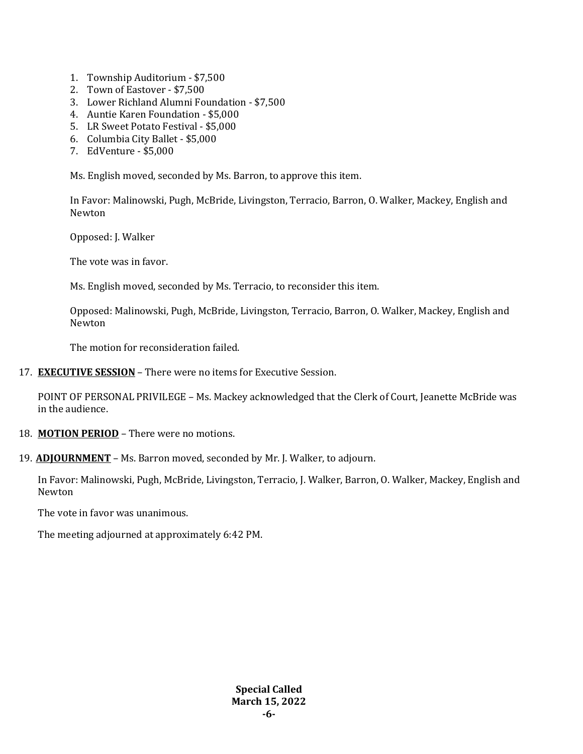- 1. Township Auditorium \$7,500
- 2. Town of Eastover \$7,500
- 3. Lower Richland Alumni Foundation \$7,500
- 4. Auntie Karen Foundation \$5,000
- 5. LR Sweet Potato Festival \$5,000
- 6. Columbia City Ballet \$5,000
- 7. EdVenture \$5,000

Ms. English moved, seconded by Ms. Barron, to approve this item.

In Favor: Malinowski, Pugh, McBride, Livingston, Terracio, Barron, O. Walker, Mackey, English and Newton

Opposed: J. Walker

The vote was in favor.

Ms. English moved, seconded by Ms. Terracio, to reconsider this item.

Opposed: Malinowski, Pugh, McBride, Livingston, Terracio, Barron, O. Walker, Mackey, English and Newton

The motion for reconsideration failed.

17. **EXECUTIVE SESSION** – There were no items for Executive Session.

POINT OF PERSONAL PRIVILEGE – Ms. Mackey acknowledged that the Clerk of Court, Jeanette McBride was in the audience.

18. **MOTION PERIOD** – There were no motions.

19. **ADJOURNMENT** – Ms. Barron moved, seconded by Mr. J. Walker, to adjourn.

In Favor: Malinowski, Pugh, McBride, Livingston, Terracio, J. Walker, Barron, O. Walker, Mackey, English and Newton

The vote in favor was unanimous.

The meeting adjourned at approximately 6:42 PM.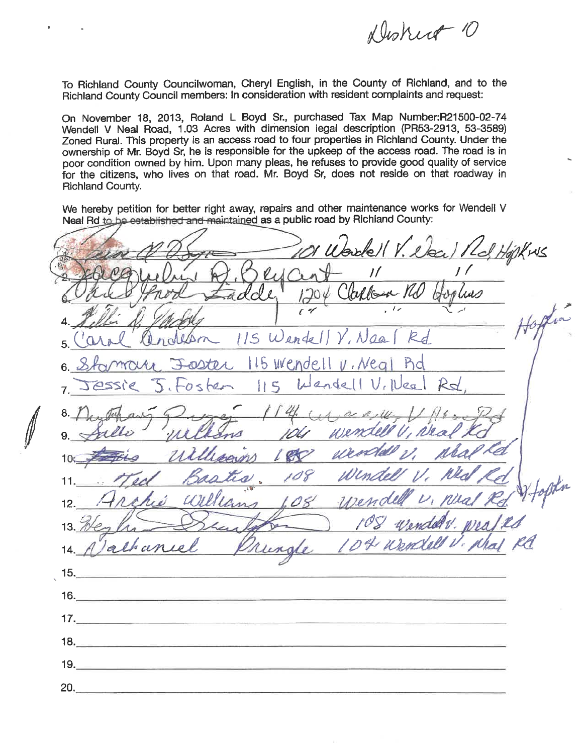Duskirt 10

To Richland County Councilwoman, Cheryl English, in the County of Richland, and to the Richland County Council members: In consideration with resident complaints and request:

On November 18, 2013, Roland L Boyd Sr., purchased Tax Map Number:R21500-02-74 Wendell V Neal Road, 1.03 Acres with dimension legal description (PR53-2913, 53-3589) Zoned Rural. This property is an access road to four properties in Richland County. Under the ownership of Mr. Boyd Sr, he is responsible for the upkeep of the access road. The road is in poor condition owned by him. Upon many pleas, he refuses to provide good quality of service for the citizens, who lives on that road. Mr. Boyd Sr, does not reside on that roadway in **Richland County.** 

We hereby petition for better right away, repairs and other maintenance works for Wendell V Neal Rd to be established and maintained as a public road by Richland County:

Wardell V. Day / 16  $\mathcal{V}_A$ Clarlow Md  $H_{o}$ 115 Wendell 115 Wendell  $U$ ,  $Nea$ Bd  $endel|V_{\ell}l|$ leg  $|15$  $10$  $12.$  $13<sup>1</sup>$ de  $15.$  $16.$  $17.$  $18.$  $19.$  $20.$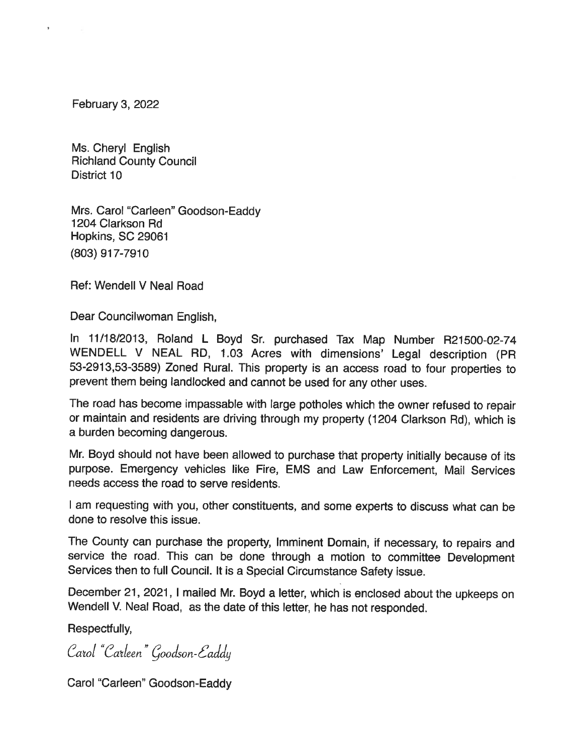February 3, 2022

Ms. Cheryl English **Richland County Council** District 10

Mrs. Carol "Carleen" Goodson-Eaddy 1204 Clarkson Rd Hopkins, SC 29061 (803) 917-7910

Ref: Wendell V Neal Road

Dear Councilwoman English.

In 11/18/2013, Roland L Boyd Sr. purchased Tax Map Number R21500-02-74 WENDELL V NEAL RD, 1.03 Acres with dimensions' Legal description (PR 53-2913,53-3589) Zoned Rural. This property is an access road to four properties to prevent them being landlocked and cannot be used for any other uses.

The road has become impassable with large potholes which the owner refused to repair or maintain and residents are driving through my property (1204 Clarkson Rd), which is a burden becoming dangerous.

Mr. Boyd should not have been allowed to purchase that property initially because of its purpose. Emergency vehicles like Fire, EMS and Law Enforcement, Mail Services needs access the road to serve residents.

I am requesting with you, other constituents, and some experts to discuss what can be done to resolve this issue.

The County can purchase the property, Imminent Domain, if necessary, to repairs and service the road. This can be done through a motion to committee Development Services then to full Council. It is a Special Circumstance Safety issue.

December 21, 2021, I mailed Mr. Boyd a letter, which is enclosed about the upkeeps on Wendell V. Neal Road, as the date of this letter, he has not responded.

Respectfully,

Carol "Carleen" Goodson-Eaddy

Carol "Carleen" Goodson-Eaddy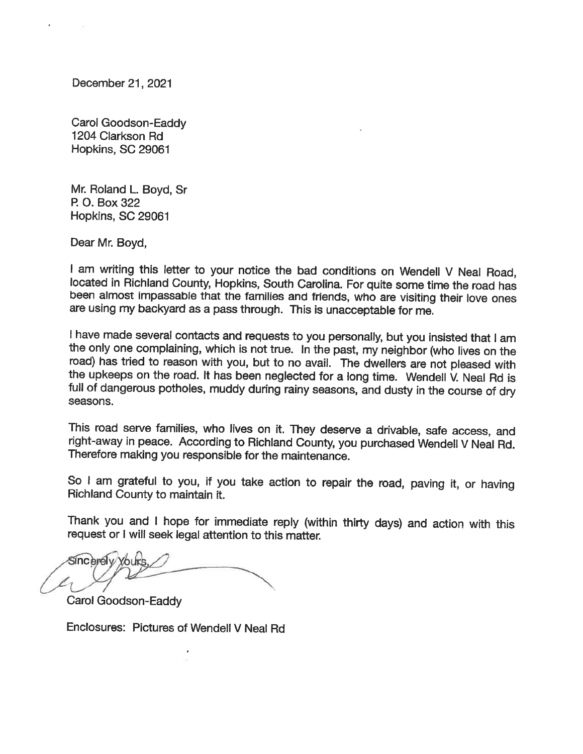December 21, 2021

Carol Goodson-Eaddy 1204 Clarkson Rd Hopkins, SC 29061

Mr. Roland L. Boyd, Sr P. O. Box 322 Hopkins, SC 29061

Dear Mr. Boyd,

I am writing this letter to your notice the bad conditions on Wendell V Neal Road, located in Richland County, Hopkins, South Carolina. For quite some time the road has been almost impassable that the families and friends, who are visiting their love ones are using my backyard as a pass through. This is unacceptable for me.

I have made several contacts and requests to you personally, but you insisted that I am the only one complaining, which is not true. In the past, my neighbor (who lives on the road) has tried to reason with you, but to no avail. The dwellers are not pleased with the upkeeps on the road. It has been neglected for a long time. Wendell V. Neal Rd is full of dangerous potholes, muddy during rainy seasons, and dusty in the course of dry seasons.

This road serve families, who lives on it. They deserve a drivable, safe access, and right-away in peace. According to Richland County, you purchased Wendell V Neal Rd. Therefore making you responsible for the maintenance.

So I am grateful to you, if you take action to repair the road, paving it, or having Richland County to maintain it.

Thank you and I hope for immediate reply (within thirty days) and action with this request or I will seek legal attention to this matter.

Sincerely You

Carol Goodson-Eaddy

Enclosures: Pictures of Wendell V Neal Rd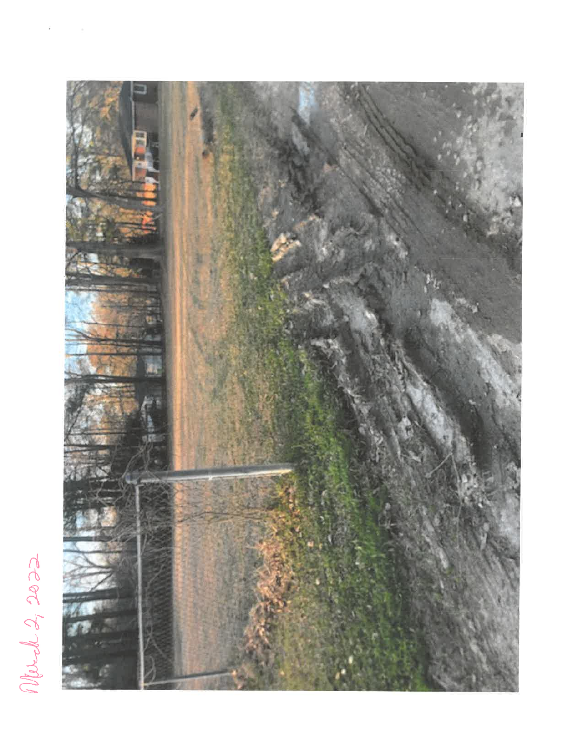

Merch 2, 2022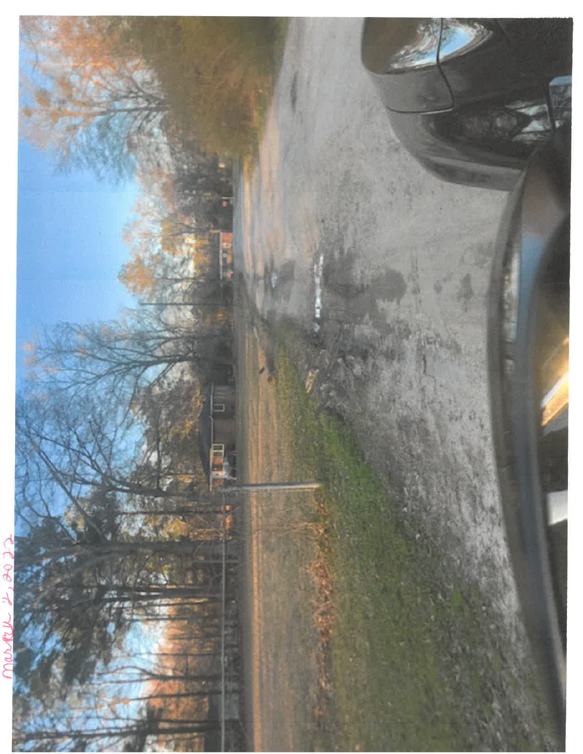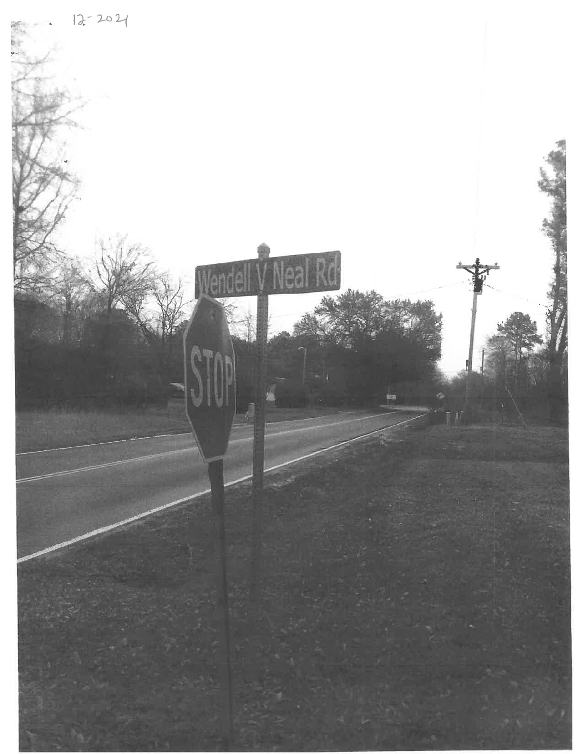